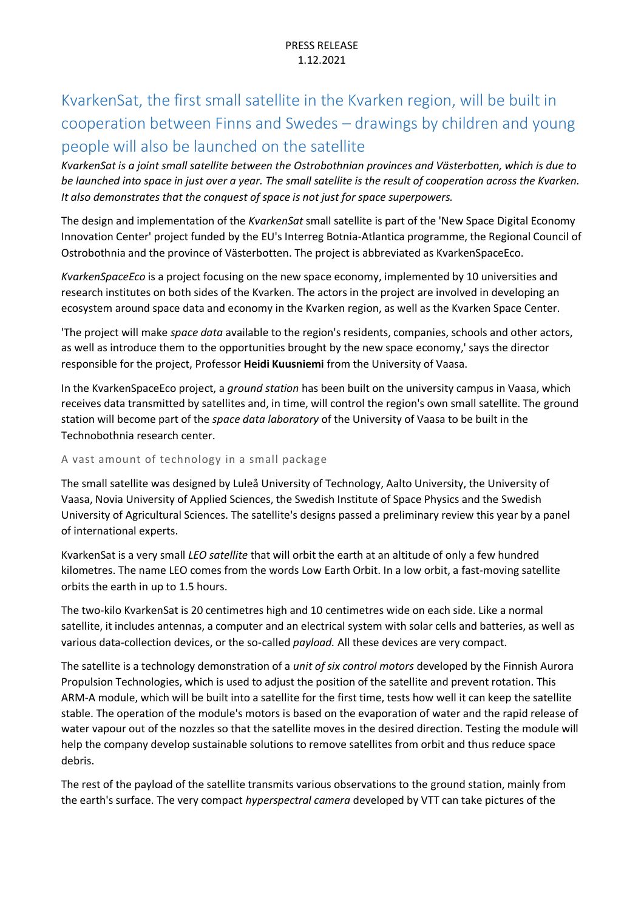# KvarkenSat, the first small satellite in the Kvarken region, will be built in cooperation between Finns and Swedes – drawings by children and young people will also be launched on the satellite

*KvarkenSat is a joint small satellite between the Ostrobothnian provinces and Västerbotten, which is due to be launched into space in just over a year. The small satellite is the result of cooperation across the Kvarken. It also demonstrates that the conquest of space is not just for space superpowers.*

The design and implementation of the *KvarkenSat* small satellite is part of the 'New Space Digital Economy Innovation Center' project funded by the EU's Interreg Botnia-Atlantica programme, the Regional Council of Ostrobothnia and the province of Västerbotten. The project is abbreviated as KvarkenSpaceEco.

*KvarkenSpaceEco* is a project focusing on the new space economy, implemented by 10 universities and research institutes on both sides of the Kvarken. The actors in the project are involved in developing an ecosystem around space data and economy in the Kvarken region, as well as the Kvarken Space Center.

'The project will make *space data* available to the region's residents, companies, schools and other actors, as well as introduce them to the opportunities brought by the new space economy,' says the director responsible for the project, Professor **Heidi Kuusniemi** from the University of Vaasa.

In the KvarkenSpaceEco project, a *ground station* has been built on the university campus in Vaasa, which receives data transmitted by satellites and, in time, will control the region's own small satellite. The ground station will become part of the *space data laboratory* of the University of Vaasa to be built in the Technobothnia research center.

### A vast amount of technology in a small package

The small satellite was designed by Luleå University of Technology, Aalto University, the University of Vaasa, Novia University of Applied Sciences, the Swedish Institute of Space Physics and the Swedish University of Agricultural Sciences. The satellite's designs passed a preliminary review this year by a panel of international experts.

KvarkenSat is a very small *LEO satellite* that will orbit the earth at an altitude of only a few hundred kilometres. The name LEO comes from the words Low Earth Orbit. In a low orbit, a fast-moving satellite orbits the earth in up to 1.5 hours.

The two-kilo KvarkenSat is 20 centimetres high and 10 centimetres wide on each side. Like a normal satellite, it includes antennas, a computer and an electrical system with solar cells and batteries, as well as various data-collection devices, or the so-called *payload.* All these devices are very compact.

The satellite is a technology demonstration of a *unit of six control motors* developed by the Finnish Aurora Propulsion Technologies, which is used to adjust the position of the satellite and prevent rotation. This ARM-A module, which will be built into a satellite for the first time, tests how well it can keep the satellite stable. The operation of the module's motors is based on the evaporation of water and the rapid release of water vapour out of the nozzles so that the satellite moves in the desired direction. Testing the module will help the company develop sustainable solutions to remove satellites from orbit and thus reduce space debris.

The rest of the payload of the satellite transmits various observations to the ground station, mainly from the earth's surface. The very compact *hyperspectral camera* developed by VTT can take pictures of the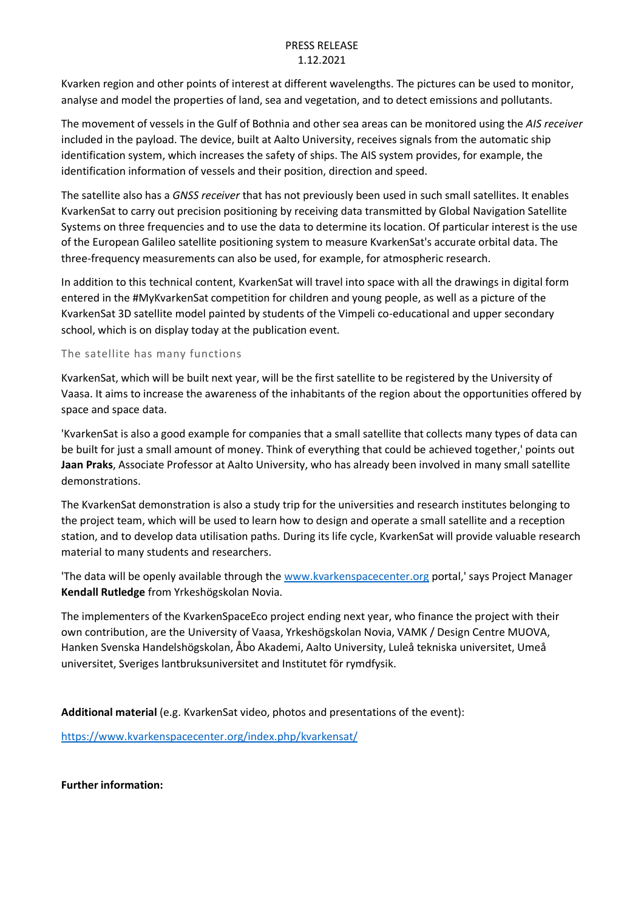## PRESS RELEASE 1.12.2021

Kvarken region and other points of interest at different wavelengths. The pictures can be used to monitor, analyse and model the properties of land, sea and vegetation, and to detect emissions and pollutants.

The movement of vessels in the Gulf of Bothnia and other sea areas can be monitored using the *AIS receiver* included in the payload. The device, built at Aalto University, receives signals from the automatic ship identification system, which increases the safety of ships. The AIS system provides, for example, the identification information of vessels and their position, direction and speed.

The satellite also has a *GNSS receiver* that has not previously been used in such small satellites. It enables KvarkenSat to carry out precision positioning by receiving data transmitted by Global Navigation Satellite Systems on three frequencies and to use the data to determine its location. Of particular interest is the use of the European Galileo satellite positioning system to measure KvarkenSat's accurate orbital data. The three-frequency measurements can also be used, for example, for atmospheric research.

In addition to this technical content, KvarkenSat will travel into space with all the drawings in digital form entered in the #MyKvarkenSat competition for children and young people, as well as a picture of the KvarkenSat 3D satellite model painted by students of the Vimpeli co-educational and upper secondary school, which is on display today at the publication event.

# The satellite has many functions

KvarkenSat, which will be built next year, will be the first satellite to be registered by the University of Vaasa. It aims to increase the awareness of the inhabitants of the region about the opportunities offered by space and space data.

'KvarkenSat is also a good example for companies that a small satellite that collects many types of data can be built for just a small amount of money. Think of everything that could be achieved together,' points out **Jaan Praks**, Associate Professor at Aalto University, who has already been involved in many small satellite demonstrations.

The KvarkenSat demonstration is also a study trip for the universities and research institutes belonging to the project team, which will be used to learn how to design and operate a small satellite and a reception station, and to develop data utilisation paths. During its life cycle, KvarkenSat will provide valuable research material to many students and researchers.

'The data will be openly available through the [www.kvarkenspacecenter.org](http://www.kvarkenspacecenter.org/) portal,' says Project Manager **Kendall Rutledge** from Yrkeshögskolan Novia.

The implementers of the KvarkenSpaceEco project ending next year, who finance the project with their own contribution, are the University of Vaasa, Yrkeshögskolan Novia, VAMK / Design Centre MUOVA, Hanken Svenska Handelshögskolan, Åbo Akademi, Aalto University, Luleå tekniska universitet, Umeå universitet, Sveriges lantbruksuniversitet and Institutet för rymdfysik.

**Additional material** (e.g. KvarkenSat video, photos and presentations of the event):

<https://www.kvarkenspacecenter.org/index.php/kvarkensat/>

**Further information:**